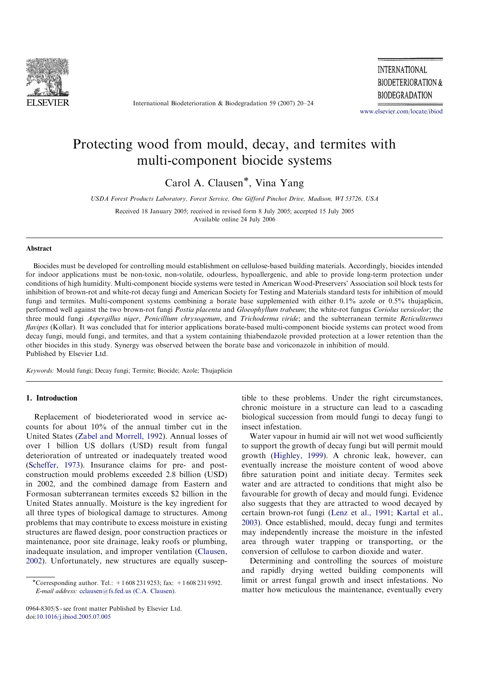

International Biodeterioration & Biodegradation 59 (2007) 20–24

**INTERNATIONAL BIODETERIORATION & BIODEGRADATION** 

www.elsevier.com/locate/ibiod

# Protecting wood from mould, decay, and termites with multi-component biocide systems

Carol A. Clausen\*, Vina Yang

USDA Forest Products Laboratory, Forest Service, One Gifford Pinchot Drive, Madison, WI 53726, USA

Received 18 January 2005; received in revised form 8 July 2005; accepted 15 July 2005 Available online 24 July 2006

## Abstract

Biocides must be developed for controlling mould establishment on cellulose-based building materials. Accordingly, biocides intended for indoor applications must be non-toxic, non-volatile, odourless, hypoallergenic, and able to provide long-term protection under conditions of high humidity. Multi-component biocide systems were tested in American Wood-Preservers' Association soil block tests for inhibition of brown-rot and white-rot decay fungi and American Society for Testing and Materials standard tests for inhibition of mould fungi and termites. Multi-component systems combining a borate base supplemented with either 0.1% azole or 0.5% thujaplicin, performed well against the two brown-rot fungi Postia placenta and Gloeophyllum trabeum; the white-rot fungus Coriolus versicolor; the three mould fungi Aspergillus niger, Penicillium chrysogenum, and Trichoderma viride; and the subterranean termite Reticulitermes flavipes (Kollar). It was concluded that for interior applications borate-based multi-component biocide systems can protect wood from decay fungi, mould fungi, and termites, and that a system containing thiabendazole provided protection at a lower retention than the other biocides in this study. Synergy was observed between the borate base and voriconazole in inhibition of mould. Published by Elsevier Ltd.

Keywords: Mould fungi; Decay fungi; Termite; Biocide; Azole; Thujaplicin

# 1. Introduction

Replacement of biodeteriorated wood in service accounts for about 10% of the annual timber cut in the United States (Zabel and Morrell, 1992). Annual losses of over 1 billion US dollars (USD) result from fungal deterioration of untreated or inadequately treated wood (Scheffer, 1973). Insurance claims for pre- and postconstruction mould problems exceeded 2.8 billion (USD) in 2002, and the combined damage from Eastern and Formosan subterranean termites exceeds \$2 billion in the United States annually. Moisture is the key ingredient for all three types of biological damage to structures. Among problems that may contribute to excess moisture in existing structures are flawed design, poor construction practices or maintenance, poor site drainage, leaky roofs or plumbing, inadequate insulation, and improper ventilation (Clausen, 2002). Unfortunately, new structures are equally suscep-

0964-8305/\$ - see front matter Published by Elsevier Ltd. doi:10.1016/j.ibiod.2005.07.005

tible to these problems. Under the right circumstances, chronic moisture in a structure can lead to a cascading biological succession from mould fungi to decay fungi to insect infestation.

Water vapour in humid air will not wet wood sufficiently to support the growth of decay fungi but will permit mould growth (Highley, 1999). A chronic leak, however, can eventually increase the moisture content of wood above fibre saturation point and initiate decay. Termites seek water and are attracted to conditions that might also be favourable for growth of decay and mould fungi. Evidence also suggests that they are attracted to wood decayed by certain brown-rot fungi (Lenz et al., 1991; Kartal et al., 2003). Once established, mould, decay fungi and termites may independently increase the moisture in the infested area through water trapping or transporting, or the conversion of cellulose to carbon dioxide and water.

Determining and controlling the sources of moisture and rapidly drying wetted building components will limit or arrest fungal growth and insect infestations. No matter how meticulous the maintenance, eventually every

<sup>-</sup>Corresponding author. Tel.: +1 608 231 9253; fax: +1 608 231 9592. E-mail address: cclausen@fs.fed.us (C.A. Clausen).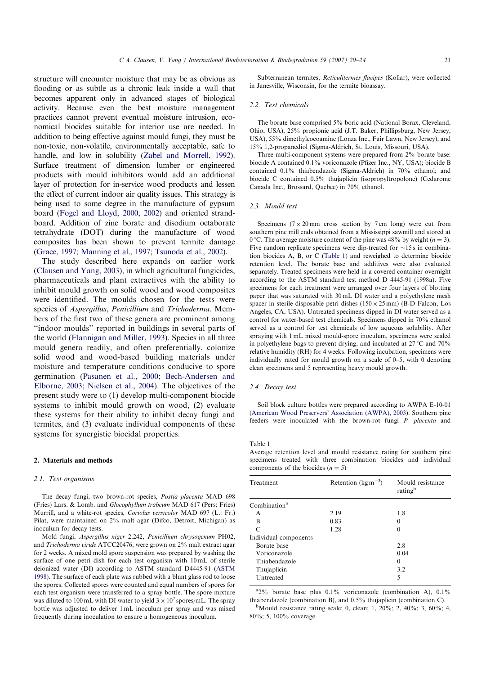structure will encounter moisture that may be as obvious as flooding or as subtle as a chronic leak inside a wall that becomes apparent only in advanced stages of biological activity. Because even the best moisture management practices cannot prevent eventual moisture intrusion, economical biocides suitable for interior use are needed. In addition to being effective against mould fungi, they must be non-toxic, non-volatile, environmentally acceptable, safe to handle, and low in solubility (Zabel and Morrell, 1992). Surface treatment of dimension lumber or engineered products with mould inhibitors would add an additional layer of protection for in-service wood products and lessen the effect of current indoor air quality issues. This strategy is being used to some degree in the manufacture of gypsum board (Fogel and Lloyd, 2000, 2002) and oriented strandboard. Addition of zinc borate and disodium octaborate tetrahydrate (DOT) during the manufacture of wood composites has been shown to prevent termite damage (Grace, 1997; Manning et al., 1997; Tsunoda et al., 2002).

The study described here expands on earlier work (Clausen and Yang, 2003), in which agricultural fungicides, pharmaceuticals and plant extractives with the ability to inhibit mould growth on solid wood and wood composites were identified. The moulds chosen for the tests were species of Aspergillus, Penicillium and Trichoderma. Members of the first two of these genera are prominent among ''indoor moulds'' reported in buildings in several parts of the world (Flannigan and Miller, 1993). Species in all three mould genera readily, and often preferentially, colonize solid wood and wood-based building materials under moisture and temperature conditions conducive to spore germination (Pasanen et al., 2000; Bech-Andersen and Elborne, 2003; Nielsen et al., 2004). The objectives of the present study were to (1) develop multi-component biocide systems to inhibit mould growth on wood, (2) evaluate these systems for their ability to inhibit decay fungi and termites, and (3) evaluate individual components of these systems for synergistic biocidal properties.

## 2. Materials and methods

## 2.1. Test organisms

The decay fungi, two brown-rot species, Postia placenta MAD 698 (Fries) Lars. & Lomb. and Gloeophyllum trabeum MAD 617 (Pers: Fries) Murrill, and a white-rot species, Coriolus versicolor MAD 697 (L.: Fr.) Pilat, were maintained on 2% malt agar (Difco, Detroit, Michigan) as inoculum for decay tests.

Mold fungi, Aspergillus niger 2.242, Penicillium chrysogenum PH02, and Trichoderma viride ATCC20476, were grown on 2% malt extract agar for 2 weeks. A mixed mold spore suspension was prepared by washing the surface of one petri dish for each test organism with 10 mL of sterile deionized water (DI) according to ASTM standard D4445-91 (ASTM 1998). The surface of each plate was rubbed with a blunt glass rod to loose the spores. Collected spores were counted and equal numbers of spores for each test organism were transferred to a spray bottle. The spore mixture was diluted to 100 mL with DI water to yield  $3 \times 10^7$  spores/mL. The spray bottle was adjusted to deliver 1 mL inoculum per spray and was mixed frequently during inoculation to ensure a homogeneous inoculum.

Subterranean termites, Reticulitermes flavipes (Kollar), were collected in Janesville, Wisconsin, for the termite bioassay.

## 2.2. Test chemicals

The borate base comprised 5% boric acid (National Borax, Cleveland, Ohio, USA), 25% propionic acid (J.T. Baker, Phillipsburg, New Jersey, USA), 55% dimethylcocoamine (Lonza Inc., Fair Lawn, New Jersey), and 15% 1,2-propanediol (Sigma-Aldrich, St. Louis, Missouri, USA).

Three multi-component systems were prepared from 2% borate base: biocide A contained 0.1% voriconazole (Pfizer Inc., NY, USA); biocide B contained 0.1% thiabendazole (Sigma-Aldrich) in 70% ethanol; and biocide C contained 0.5% thujaplicin (isopropyltropolone) (Cedarome Canada Inc., Brossard, Quebec) in 70% ethanol.

## 2.3. Mould test

Specimens  $(7 \times 20 \text{ mm}$  cross section by 7 cm long) were cut from southern pine mill ends obtained from a Mississippi sawmill and stored at 0 °C. The average moisture content of the pine was 48% by weight ( $n = 3$ ). Five random replicate specimens were dip-treated for  $\sim$ 15 s in combination biocides A, B, or C (Table 1) and reweighed to determine biocide retention level. The borate base and additives were also evaluated separately. Treated specimens were held in a covered container overnight according to the ASTM standard test method D 4445-91 (1998a). Five specimens for each treatment were arranged over four layers of blotting paper that was saturated with 30 mL DI water and a polyethylene mesh spacer in sterile disposable petri dishes  $(150 \times 25 \text{ mm})$  (B-D Falcon, Los Angeles, CA, USA). Untreated specimens dipped in DI water served as a control for water-based test chemicals. Specimens dipped in 70% ethanol served as a control for test chemicals of low aqueous solubility. After spraying with 1 mL mixed mould-spore inoculum, specimens were sealed in polyethylene bags to prevent drying, and incubated at  $27^{\circ}$ C and  $70\%$ relative humidity (RH) for 4 weeks. Following incubation, specimens were individually rated for mould growth on a scale of 0–5, with 0 denoting clean specimens and 5 representing heavy mould growth.

### 2.4. Decay test

Soil block culture bottles were prepared according to AWPA E-10-01 (American Wood Preservers' Association (AWPA), 2003). Southern pine feeders were inoculated with the brown-rot fungi P. placenta and

#### Table 1

Average retention level and mould resistance rating for southern pine specimens treated with three combination biocides and individual components of the biocides  $(n = 5)$ 

| Treatment                | Retention $(\text{kg m}^{-3})$ | Mould resistance<br>rating <sup>b</sup> |
|--------------------------|--------------------------------|-----------------------------------------|
| Combination <sup>a</sup> |                                |                                         |
| A                        | 2.19                           | 1.8                                     |
| B                        | 0.83                           | 0                                       |
| $\subset$                | 1.28                           | $\Omega$                                |
| Individual components    |                                |                                         |
| Borate base              |                                | 2.8                                     |
| Voriconazole             |                                | 0.04                                    |
| Thiabendazole            |                                | 0                                       |
| Thujaplicin              |                                | 3.2                                     |
| Untreated                |                                | 5                                       |

 $a_{2\%}$  borate base plus 0.1% voriconazole (combination A), 0.1% thiabendazole (combination B), and  $0.5\%$  thujaplicin (combination C).

<sup>b</sup>Mould resistance rating scale: 0, clean; 1, 20%; 2, 40%; 3, 60%; 4, 80%; 5, 100% coverage.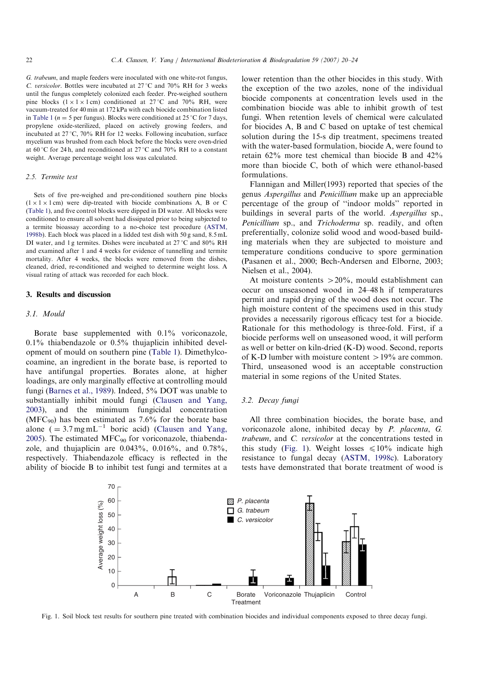G. trabeum, and maple feeders were inoculated with one white-rot fungus, C. versicolor. Bottles were incubated at  $27^{\circ}$ C and  $70\%$  RH for 3 weeks until the fungus completely colonized each feeder. Pre-weighed southern pine blocks  $(1 \times 1 \times 1$  cm) conditioned at 27 °C and 70% RH, were vacuum-treated for 40 min at 172 kPa with each biocide combination listed in Table 1 ( $n = 5$  per fungus). Blocks were conditioned at 25 °C for 7 days, propylene oxide-sterilized, placed on actively growing feeders, and incubated at  $27^{\circ}$ C, 70% RH for 12 weeks. Following incubation, surface mycelium was brushed from each block before the blocks were oven-dried at 60 °C for 24 h, and reconditioned at 27 °C and 70% RH to a constant weight. Average percentage weight loss was calculated.

## 2.5. Termite test

Sets of five pre-weighed and pre-conditioned southern pine blocks  $(1 \times 1 \times 1)$  cm) were dip-treated with biocide combinations A, B or C (Table 1), and five control blocks were dipped in DI water. All blocks were conditioned to ensure all solvent had dissipated prior to being subjected to a termite bioassay according to a no-choice test procedure (ASTM, 1998b). Each block was placed in a lidded test dish with 50 g sand, 8.5 mL DI water, and 1 g termites. Dishes were incubated at  $27^{\circ}$ C and 80% RH and examined after 1 and 4 weeks for evidence of tunnelling and termite mortality. After 4 weeks, the blocks were removed from the dishes, cleaned, dried, re-conditioned and weighed to determine weight loss. A visual rating of attack was recorded for each block.

# 3. Results and discussion

# 3.1. Mould

Borate base supplemented with 0.1% voriconazole, 0.1% thiabendazole or 0.5% thujaplicin inhibited development of mould on southern pine (Table 1). Dimethylcocoamine, an ingredient in the borate base, is reported to have antifungal properties. Borates alone, at higher loadings, are only marginally effective at controlling mould fungi (Barnes et al., 1989). Indeed, 5% DOT was unable to substantially inhibit mould fungi (Clausen and Yang, 2003), and the minimum fungicidal concentration (MFC<sub>90</sub>) has been estimated as  $7.6\%$  for the borate base alone ( $= 3.7$  mg mL<sup>-1</sup> boric acid) (Clausen and Yang, 2005). The estimated  $MFC_{90}$  for voriconazole, thiabendazole, and thujaplicin are 0.043%, 0.016%, and 0.78%, respectively. Thiabendazole efficacy is reflected in the ability of biocide B to inhibit test fungi and termites at a lower retention than the other biocides in this study. With the exception of the two azoles, none of the individual biocide components at concentration levels used in the combination biocide was able to inhibit growth of test fungi. When retention levels of chemical were calculated for biocides A, B and C based on uptake of test chemical solution during the 15-s dip treatment, specimens treated with the water-based formulation, biocide A, were found to retain 62% more test chemical than biocide B and 42% more than biocide C, both of which were ethanol-based formulations.

Flannigan and Miller(1993) reported that species of the genus Aspergillus and Penicillium make up an appreciable percentage of the group of ''indoor molds'' reported in buildings in several parts of the world. Aspergillus sp., Penicillium sp., and Trichoderma sp. readily, and often preferentially, colonize solid wood and wood-based building materials when they are subjected to moisture and temperature conditions conducive to spore germination (Pasanen et al., 2000; Bech-Andersen and Elborne, 2003; Nielsen et al., 2004).

At moisture contents  $>20\%$ , mould establishment can occur on unseasoned wood in 24–48 h if temperatures permit and rapid drying of the wood does not occur. The high moisture content of the specimens used in this study provides a necessarily rigorous efficacy test for a biocide. Rationale for this methodology is three-fold. First, if a biocide performs well on unseasoned wood, it will perform as well or better on kiln-dried (K-D) wood. Second, reports of K-D lumber with moisture content  $>19\%$  are common. Third, unseasoned wood is an acceptable construction material in some regions of the United States.

# 3.2. Decay fungi

All three combination biocides, the borate base, and voriconazole alone, inhibited decay by P. placenta, G. trabeum, and C. versicolor at the concentrations tested in this study (Fig. 1). Weight losses  $\leq 10\%$  indicate high resistance to fungal decay (ASTM, 1998c). Laboratory tests have demonstrated that borate treatment of wood is



Fig. 1. Soil block test results for southern pine treated with combination biocides and individual components exposed to three decay fungi.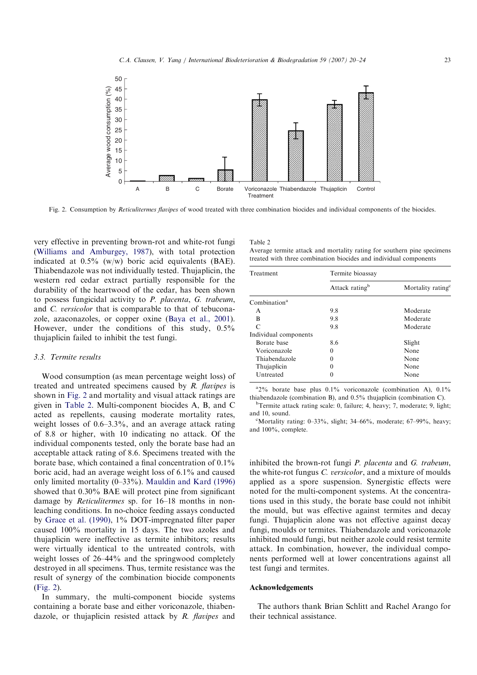

Fig. 2. Consumption by *Reticulitermes flavipes* of wood treated with three combination biocides and individual components of the biocides.

very effective in preventing brown-rot and white-rot fungi (Williams and Amburgey, 1987), with total protection indicated at 0.5% (w/w) boric acid equivalents (BAE). Thiabendazole was not individually tested. Thujaplicin, the western red cedar extract partially responsible for the durability of the heartwood of the cedar, has been shown to possess fungicidal activity to P. placenta, G. trabeum, and C. versicolor that is comparable to that of tebuconazole, azaconazoles, or copper oxine (Baya et al., 2001). However, under the conditions of this study, 0.5% thujaplicin failed to inhibit the test fungi.

# 3.3. Termite results

Wood consumption (as mean percentage weight loss) of treated and untreated specimens caused by R. flavipes is shown in Fig. 2 and mortality and visual attack ratings are given in Table 2. Multi-component biocides A, B, and C acted as repellents, causing moderate mortality rates, weight losses of 0.6–3.3%, and an average attack rating of 8.8 or higher, with 10 indicating no attack. Of the individual components tested, only the borate base had an acceptable attack rating of 8.6. Specimens treated with the borate base, which contained a final concentration of 0.1% boric acid, had an average weight loss of 6.1% and caused only limited mortality (0–33%). Mauldin and Kard (1996) showed that 0.30% BAE will protect pine from significant damage by Reticulitermes sp. for 16–18 months in nonleaching conditions. In no-choice feeding assays conducted by Grace et al. (1990), 1% DOT-impregnated filter paper caused 100% mortality in 15 days. The two azoles and thujaplicin were ineffective as termite inhibitors; results were virtually identical to the untreated controls, with weight losses of 26–44% and the springwood completely destroyed in all specimens. Thus, termite resistance was the result of synergy of the combination biocide components (Fig. 2).

In summary, the multi-component biocide systems containing a borate base and either voriconazole, thiabendazole, or thujaplicin resisted attack by R. flavipes and

| ×<br>٠<br>٧<br>۰<br>× |  |
|-----------------------|--|

Average termite attack and mortality rating for southern pine specimens treated with three combination biocides and individual components

| Treatment                   | Termite bioassay           |                               |  |
|-----------------------------|----------------------------|-------------------------------|--|
|                             | Attack rating <sup>b</sup> | Mortality rating <sup>c</sup> |  |
| Combination <sup>a</sup>    |                            |                               |  |
| A                           | 9.8                        | Moderate                      |  |
| B                           | 9.8                        | Moderate                      |  |
| $\mathcal{C}_{\mathcal{C}}$ | 9.8                        | Moderate                      |  |
| Individual components       |                            |                               |  |
| Borate base                 | 8.6                        | Slight                        |  |
| Voriconazole                | 0                          | None                          |  |
| Thiabendazole               | 0                          | None                          |  |
| Thujaplicin                 | 0                          | None                          |  |
| Untreated                   | 0                          | None                          |  |

 $a_{2\%}$  borate base plus 0.1% voriconazole (combination A), 0.1% thiabendazole (combination B), and  $0.5%$  thujaplicin (combination C).

 ${}^{\text{b}}$ Termite attack rating scale: 0, failure; 4, heavy; 7, moderate; 9, light; and 10, sound.

"Mortality rating:  $0-33\%$ , slight;  $34-66\%$ , moderate;  $67-99\%$ , heavy; and 100%, complete.

inhibited the brown-rot fungi P. placenta and G. trabeum, the white-rot fungus C. versicolor, and a mixture of moulds applied as a spore suspension. Synergistic effects were noted for the multi-component systems. At the concentrations used in this study, the borate base could not inhibit the mould, but was effective against termites and decay fungi. Thujaplicin alone was not effective against decay fungi, moulds or termites. Thiabendazole and voriconazole inhibited mould fungi, but neither azole could resist termite attack. In combination, however, the individual components performed well at lower concentrations against all test fungi and termites.

# Acknowledgements

The authors thank Brian Schlitt and Rachel Arango for their technical assistance.